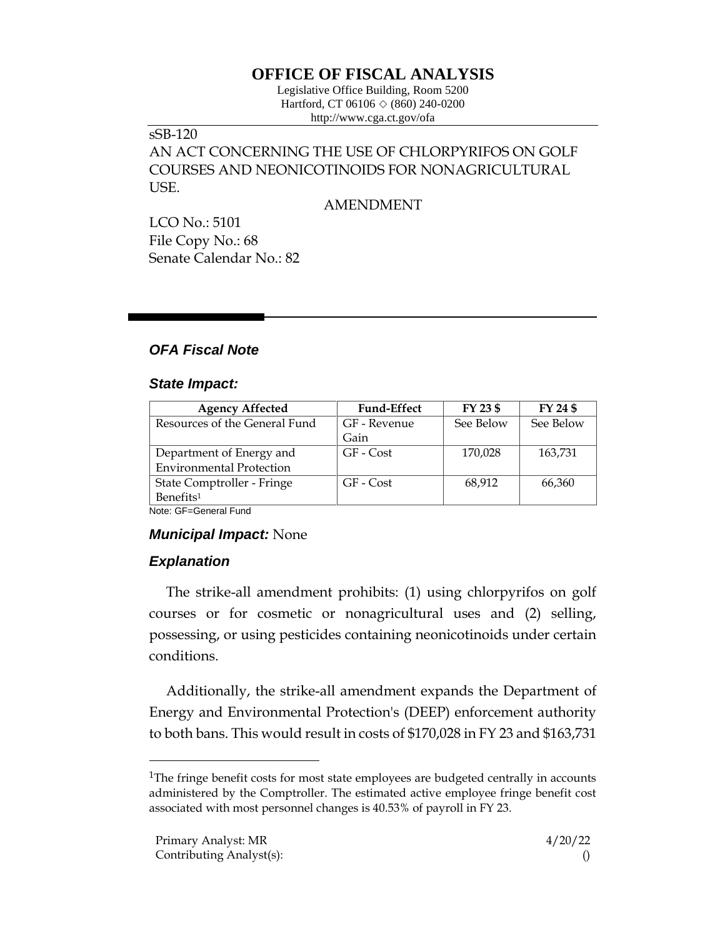# **OFFICE OF FISCAL ANALYSIS**

Legislative Office Building, Room 5200 Hartford, CT 06106  $\Diamond$  (860) 240-0200 http://www.cga.ct.gov/ofa

## sSB-120 AN ACT CONCERNING THE USE OF CHLORPYRIFOS ON GOLF COURSES AND NEONICOTINOIDS FOR NONAGRICULTURAL USE.

AMENDMENT

LCO No.: 5101 File Copy No.: 68 Senate Calendar No.: 82

## *OFA Fiscal Note*

#### *State Impact:*

| <b>Agency Affected</b>          | <b>Fund-Effect</b> | FY 23 \$  | FY 24 \$  |
|---------------------------------|--------------------|-----------|-----------|
| Resources of the General Fund   | GF - Revenue       | See Below | See Below |
|                                 | Gain               |           |           |
| Department of Energy and        | GF - Cost          | 170,028   | 163,731   |
| <b>Environmental Protection</b> |                    |           |           |
| State Comptroller - Fringe      | GF - Cost          | 68,912    | 66,360    |
| Benefits <sup>1</sup>           |                    |           |           |

Note: GF=General Fund

#### *Municipal Impact:* None

## *Explanation*

The strike-all amendment prohibits: (1) using chlorpyrifos on golf courses or for cosmetic or nonagricultural uses and (2) selling, possessing, or using pesticides containing neonicotinoids under certain conditions.

Additionally, the strike-all amendment expands the Department of Energy and Environmental Protection's (DEEP) enforcement authority to both bans. This would result in costs of \$170,028 in FY 23 and \$163,731

<sup>&</sup>lt;sup>1</sup>The fringe benefit costs for most state employees are budgeted centrally in accounts administered by the Comptroller. The estimated active employee fringe benefit cost associated with most personnel changes is 40.53% of payroll in FY 23.